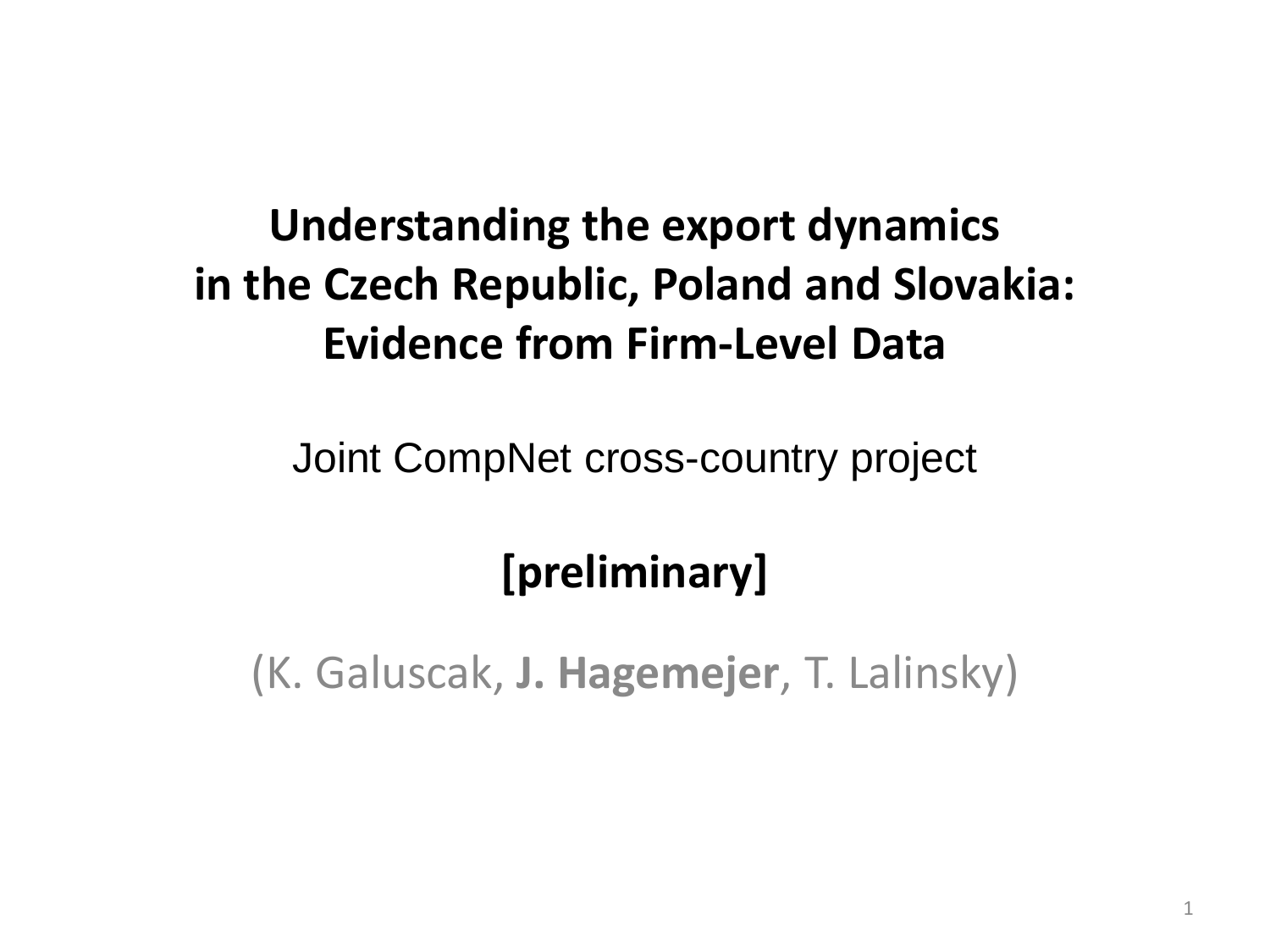### **Understanding the export dynamics in the Czech Republic, Poland and Slovakia: Evidence from Firm-Level Data**

Joint CompNet cross-country project

### **[preliminary]**

(K. Galuscak, **J. Hagemejer**, T. Lalinsky)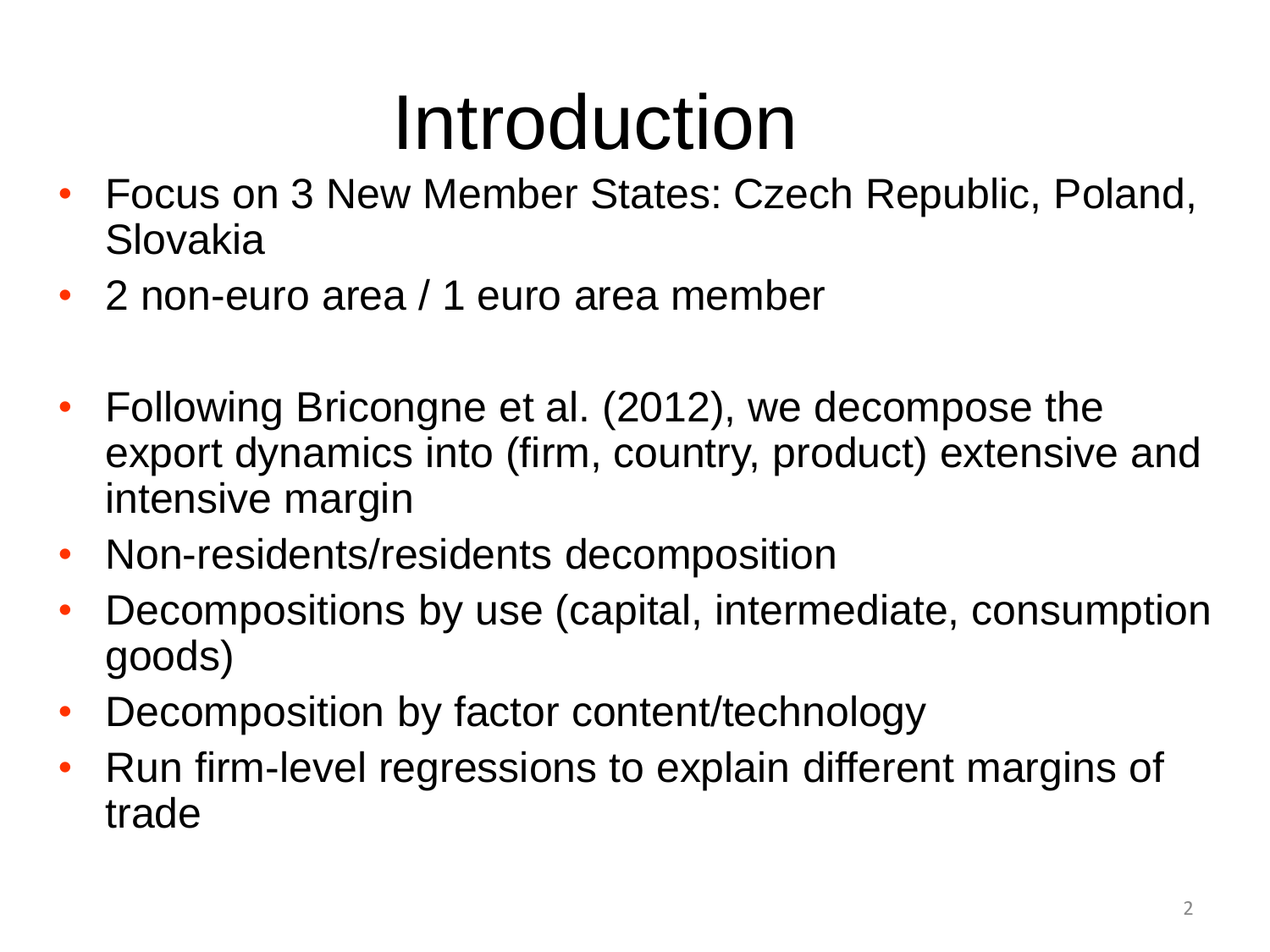# Introduction

- Focus on 3 New Member States: Czech Republic, Poland, Slovakia
- 2 non-euro area / 1 euro area member
- Following Bricongne et al. (2012), we decompose the export dynamics into (firm, country, product) extensive and intensive margin
- Non-residents/residents decomposition
- Decompositions by use (capital, intermediate, consumption goods)
- Decomposition by factor content/technology
- Run firm-level regressions to explain different margins of trade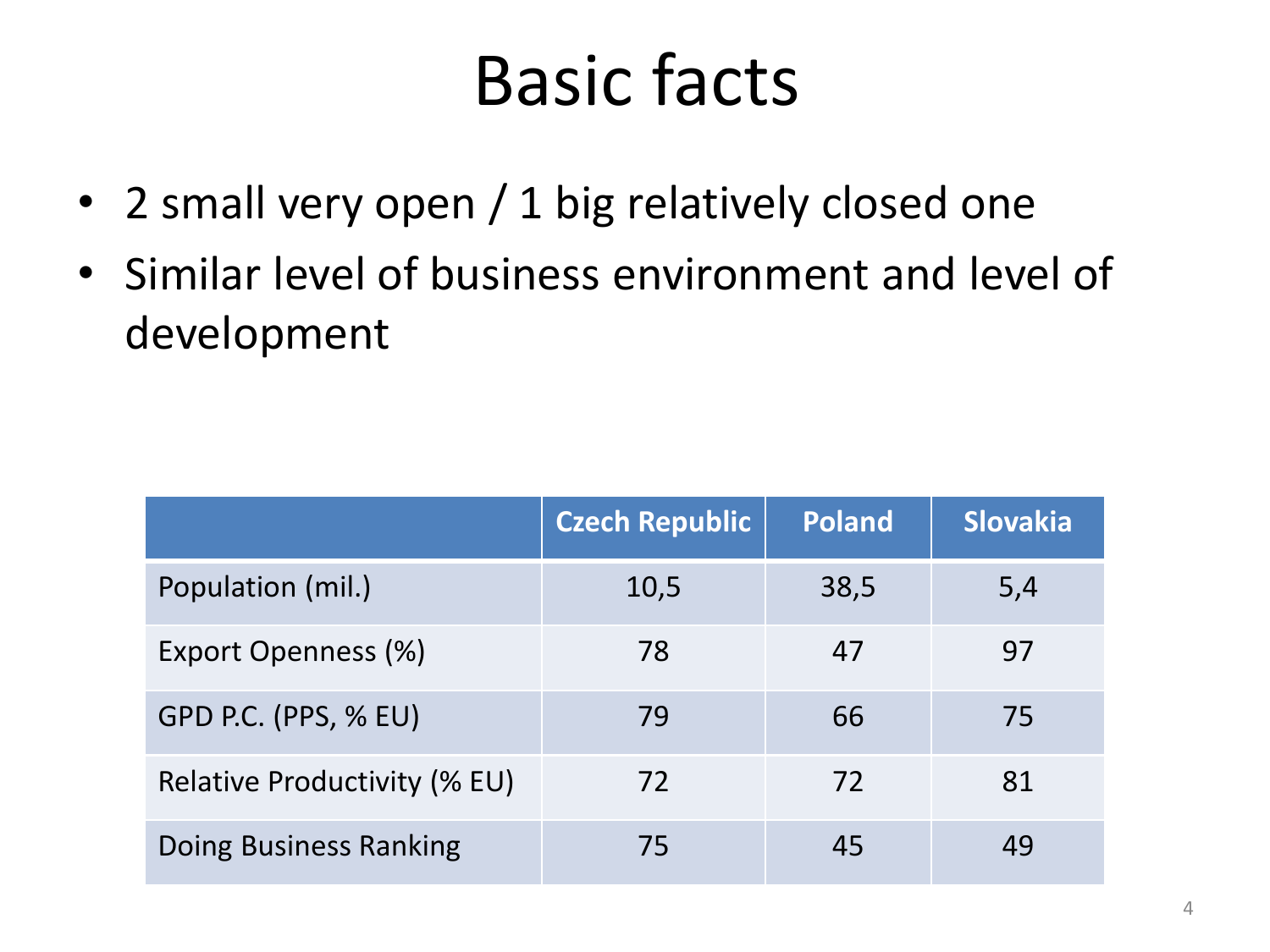### Basic facts

- 2 small very open / 1 big relatively closed one
- Similar level of business environment and level of development

|                                     | Czech Republic | <b>Poland</b> | <b>Slovakia</b> |
|-------------------------------------|----------------|---------------|-----------------|
| Population (mil.)                   | 10,5           | 38,5          | 5,4             |
| Export Openness (%)                 | 78             | 47            | 97              |
| GPD P.C. (PPS, % EU)                | 79             | 66            | 75              |
| <b>Relative Productivity (% EU)</b> | 72             | 72            | 81              |
| Doing Business Ranking              | 75             | 45            | 49              |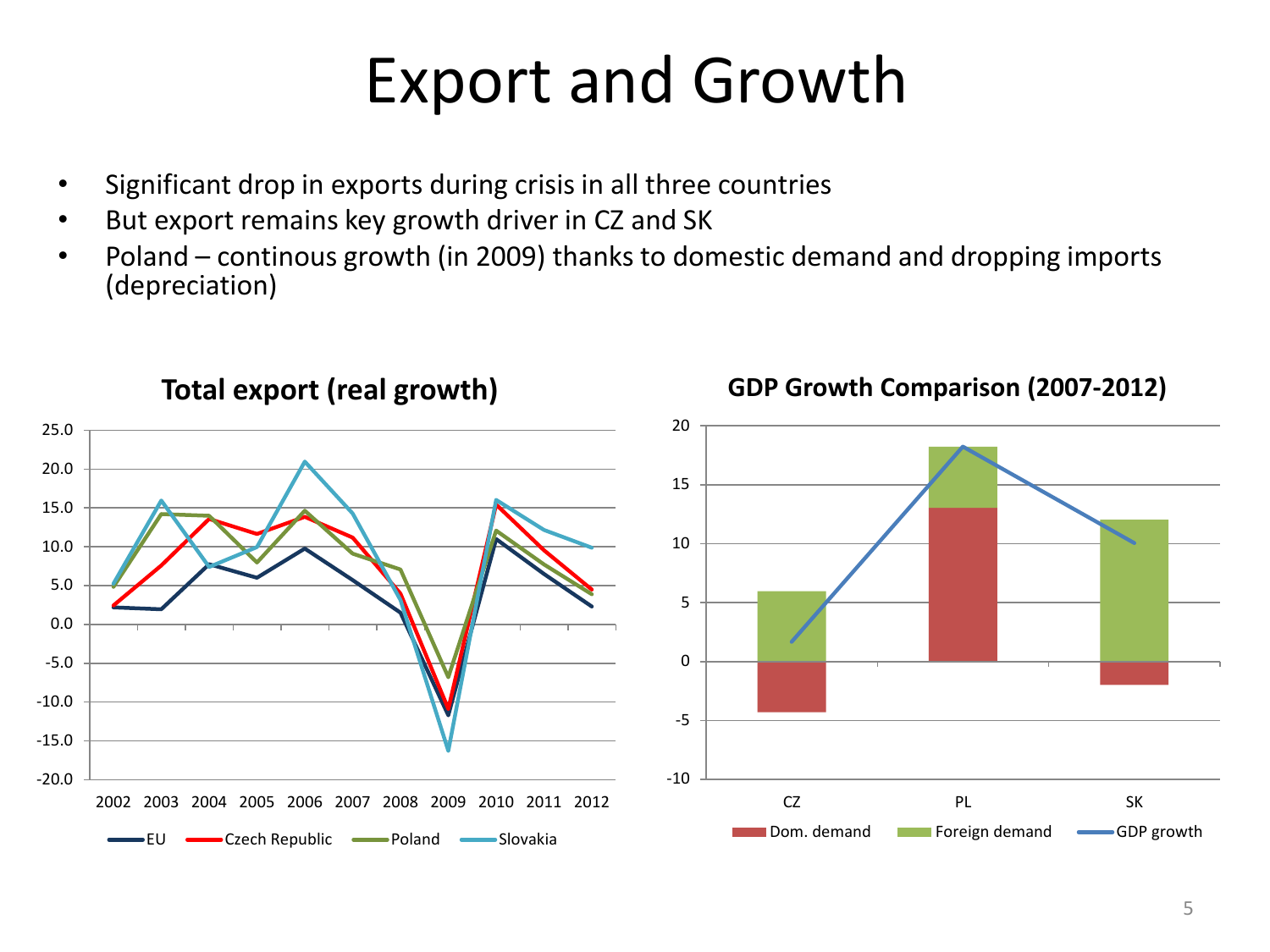### Export and Growth

- Significant drop in exports during crisis in all three countries
- But export remains key growth driver in CZ and SK
- Poland continous growth (in 2009) thanks to domestic demand and dropping imports (depreciation)

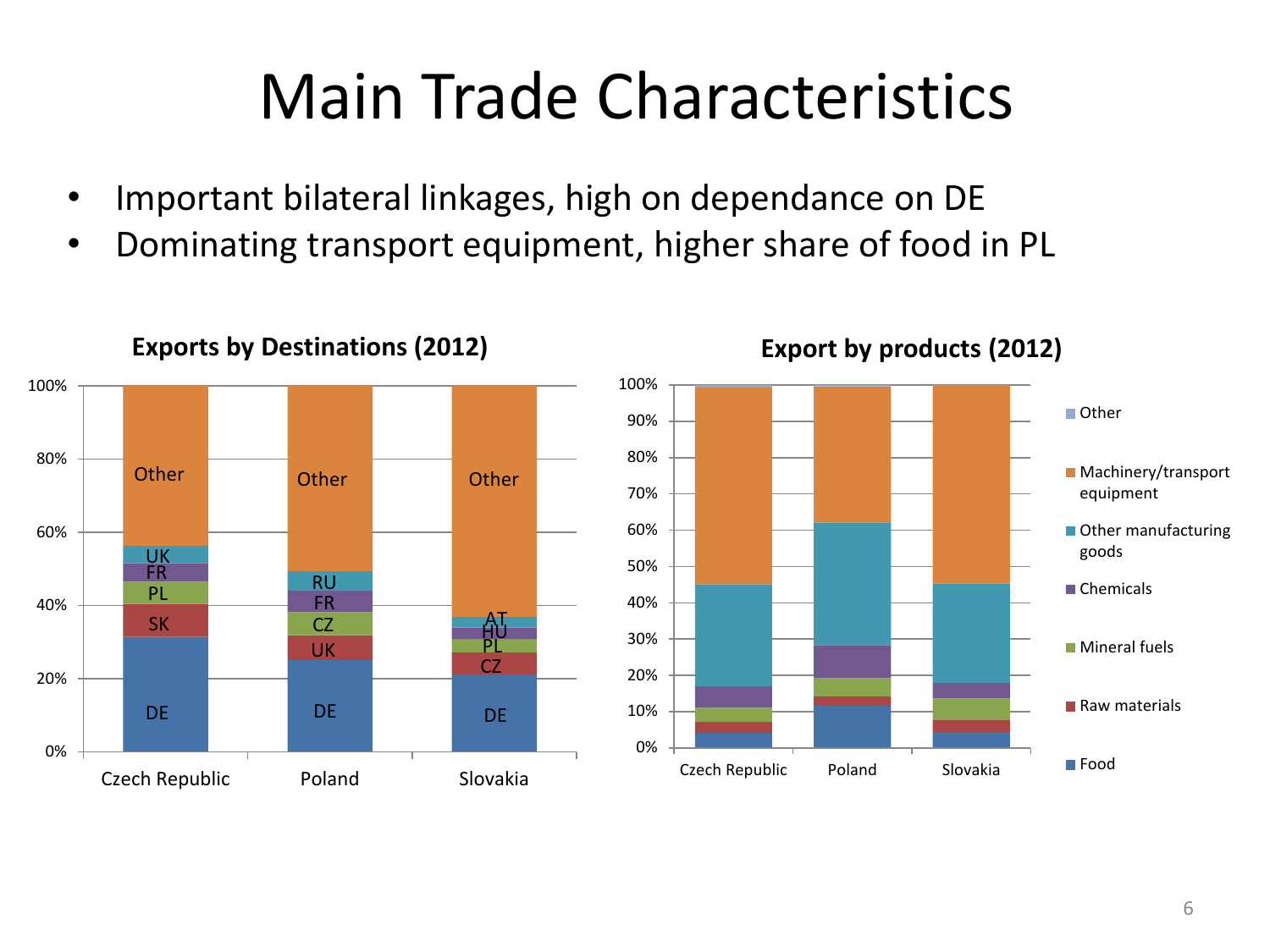### Main Trade Characteristics

- Important bilateral linkages, high on dependance on DE
- Dominating transport equipment, higher share of food in PL



**Exports by Destinations (2012)**



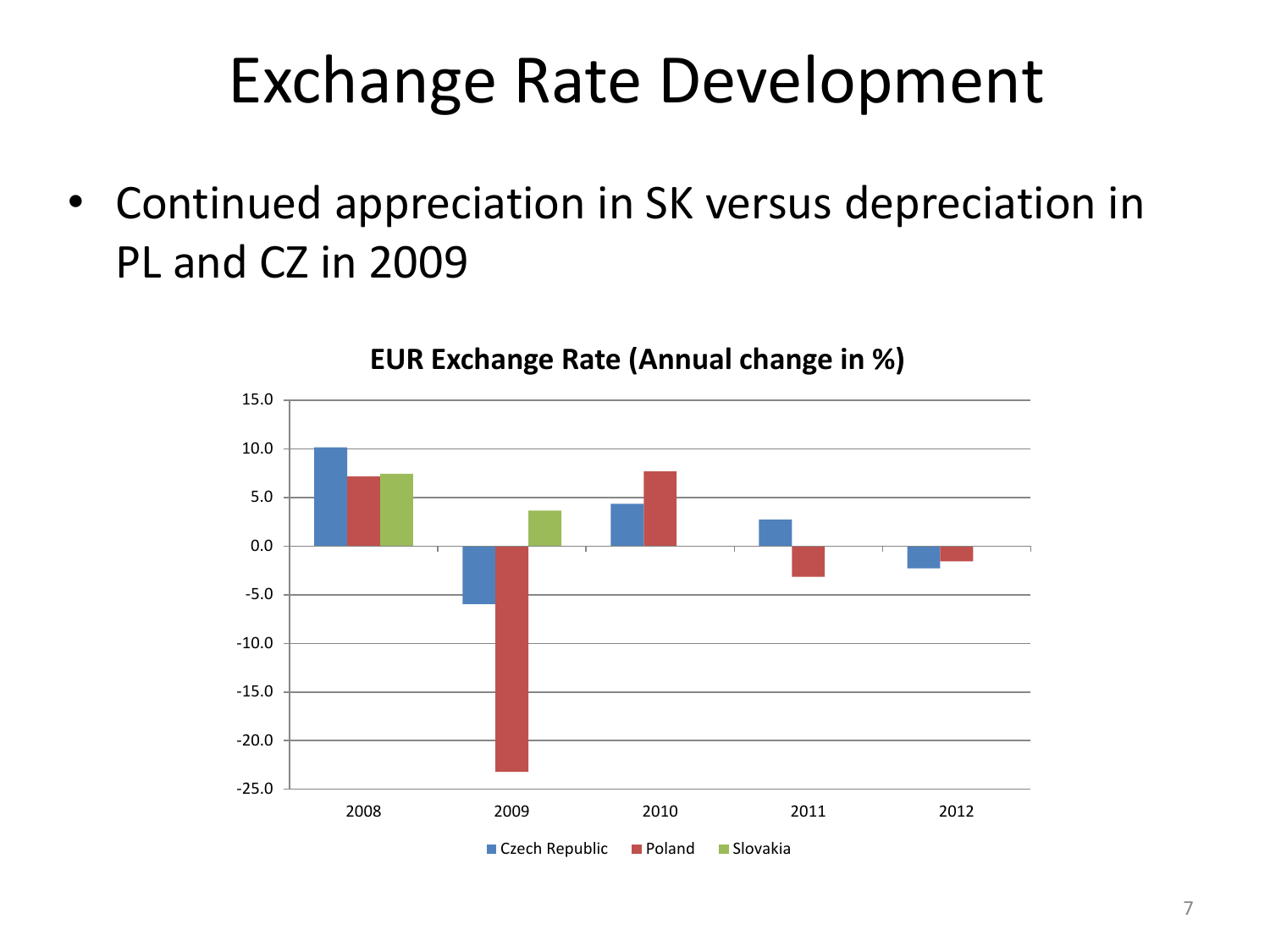### Exchange Rate Development

• Continued appreciation in SK versus depreciation in PL and CZ in 2009

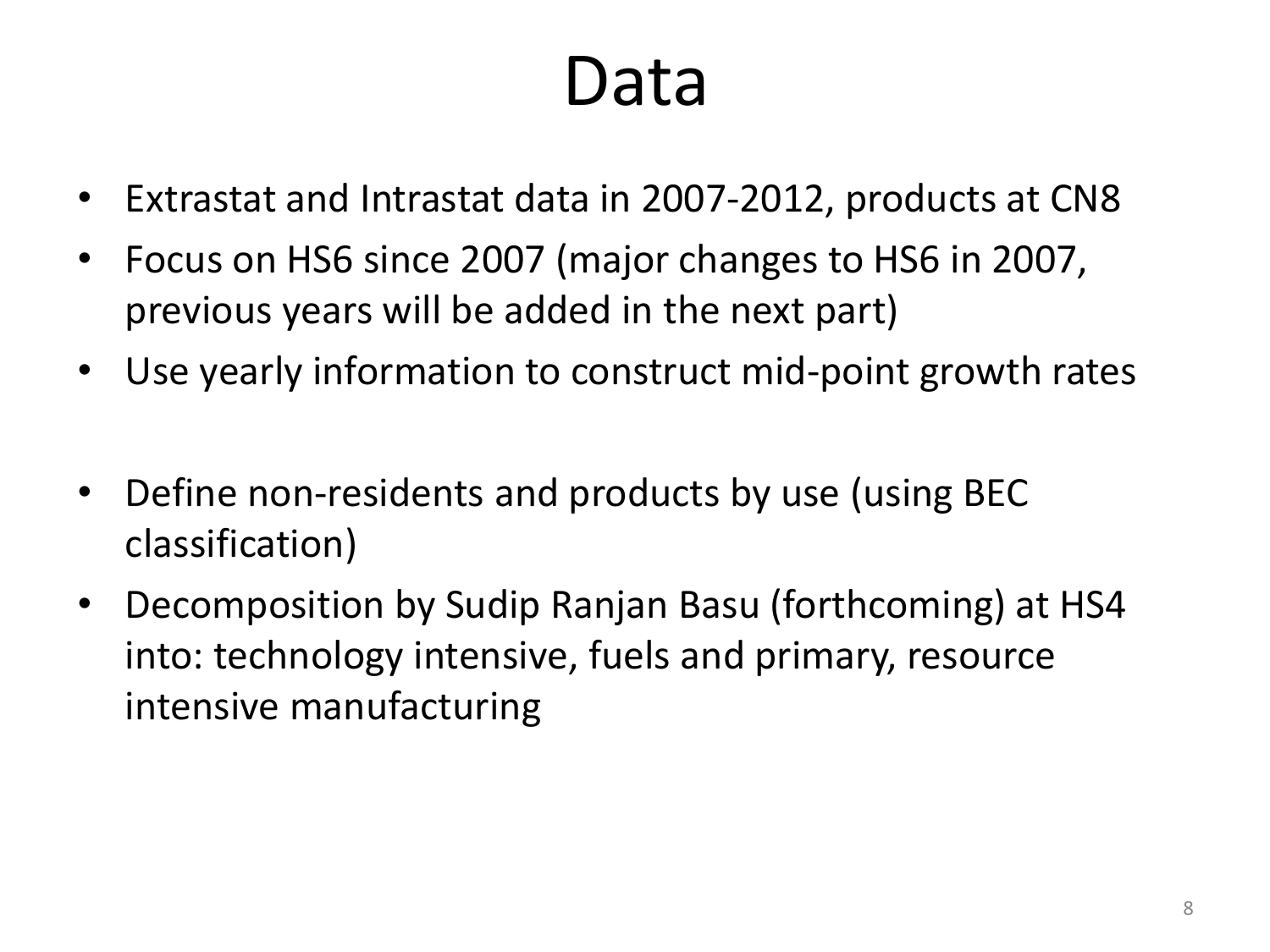### Data

- Extrastat and Intrastat data in 2007-2012, products at CN8
- Focus on HS6 since 2007 (major changes to HS6 in 2007, previous years will be added in the next part)
- Use yearly information to construct mid-point growth rates
- Define non-residents and products by use (using BEC classification)
- Decomposition by Sudip Ranjan Basu (forthcoming) at HS4 into: technology intensive, fuels and primary, resource intensive manufacturing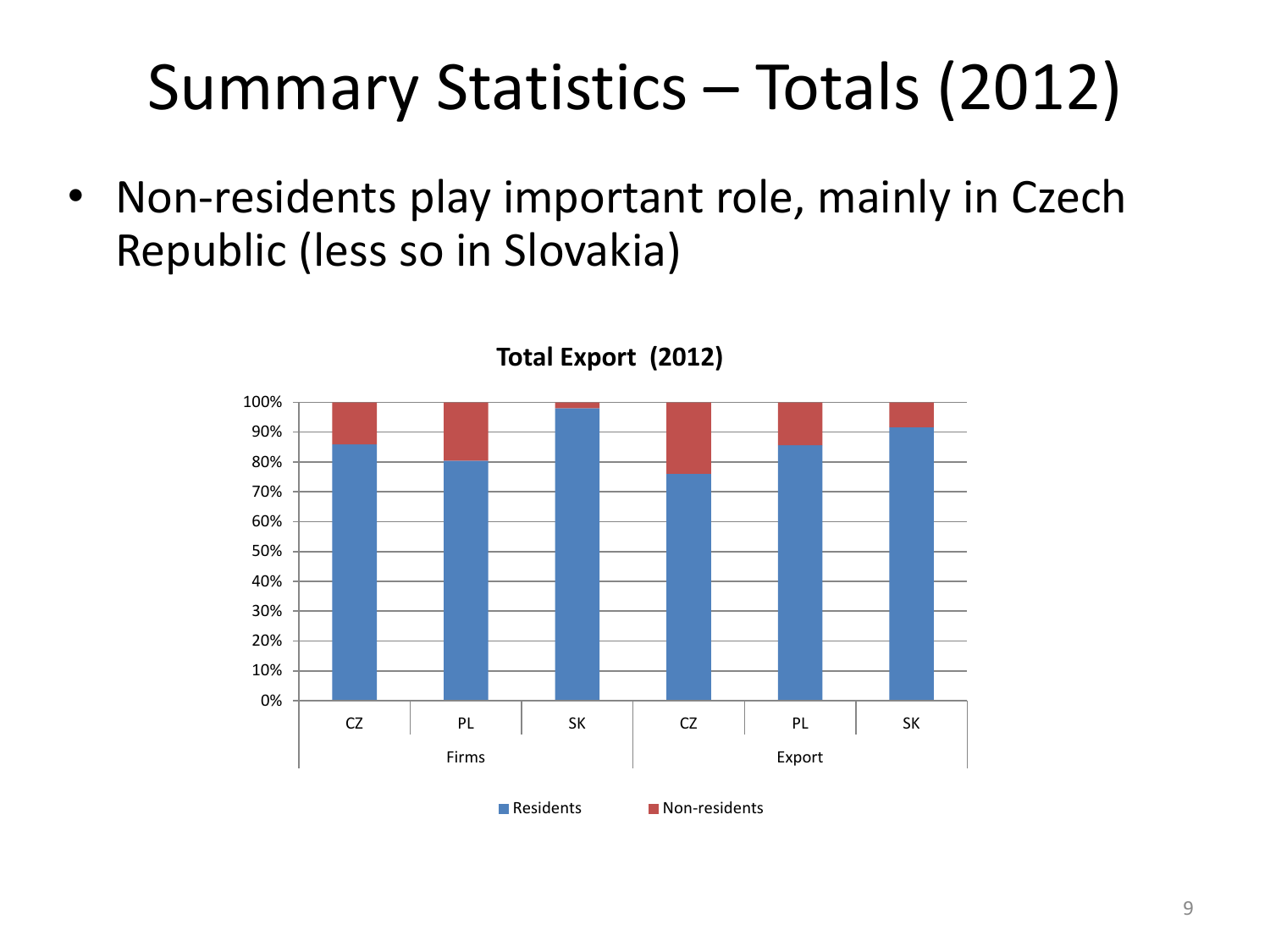### Summary Statistics – Totals (2012)

• Non-residents play important role, mainly in Czech Republic (less so in Slovakia)



**Total Export (2012)**

Residents **Non-residents**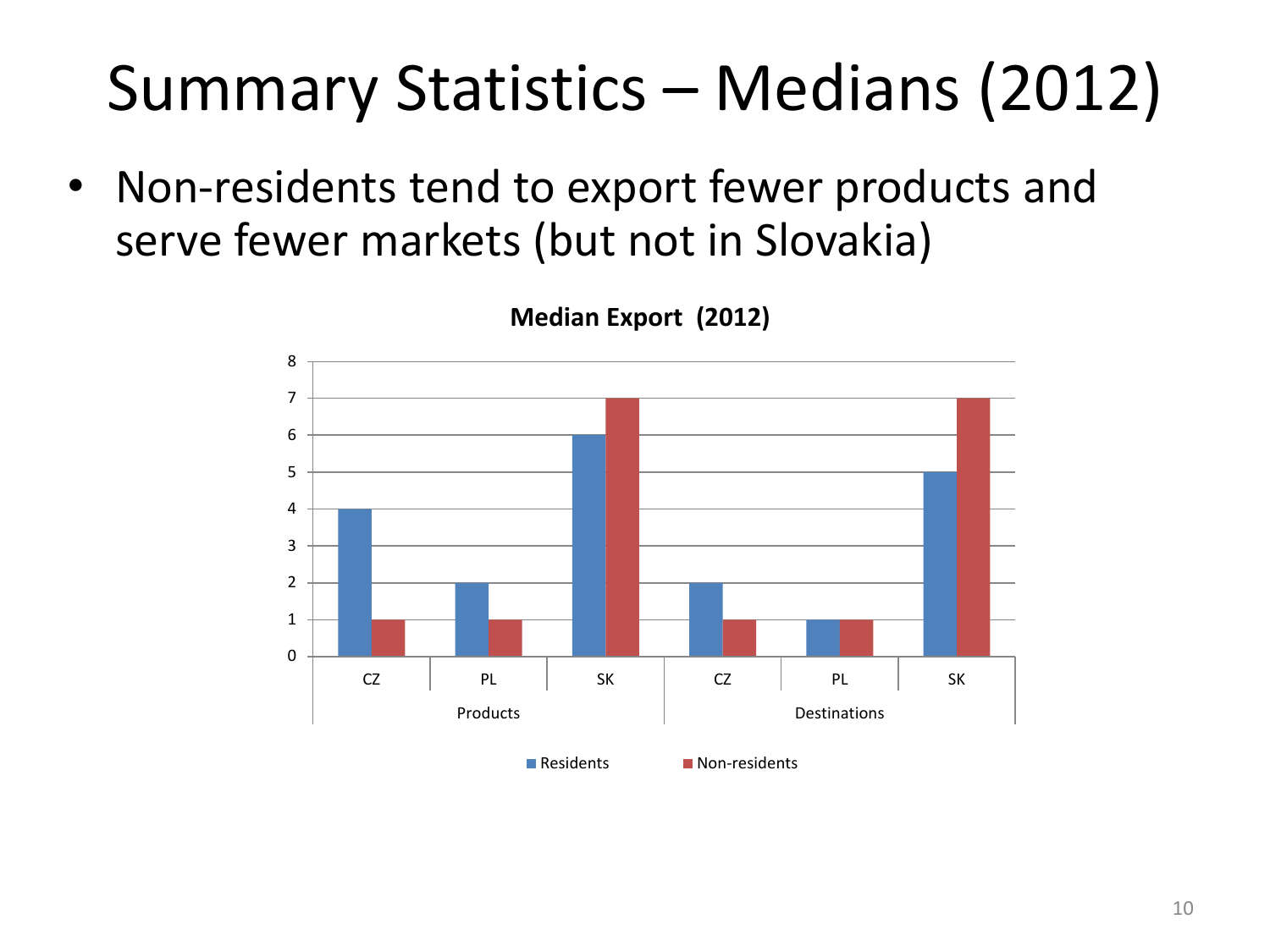### Summary Statistics – Medians (2012)

• Non-residents tend to export fewer products and serve fewer markets (but not in Slovakia)



### **Median Export (2012)**

Residents **Non-residents**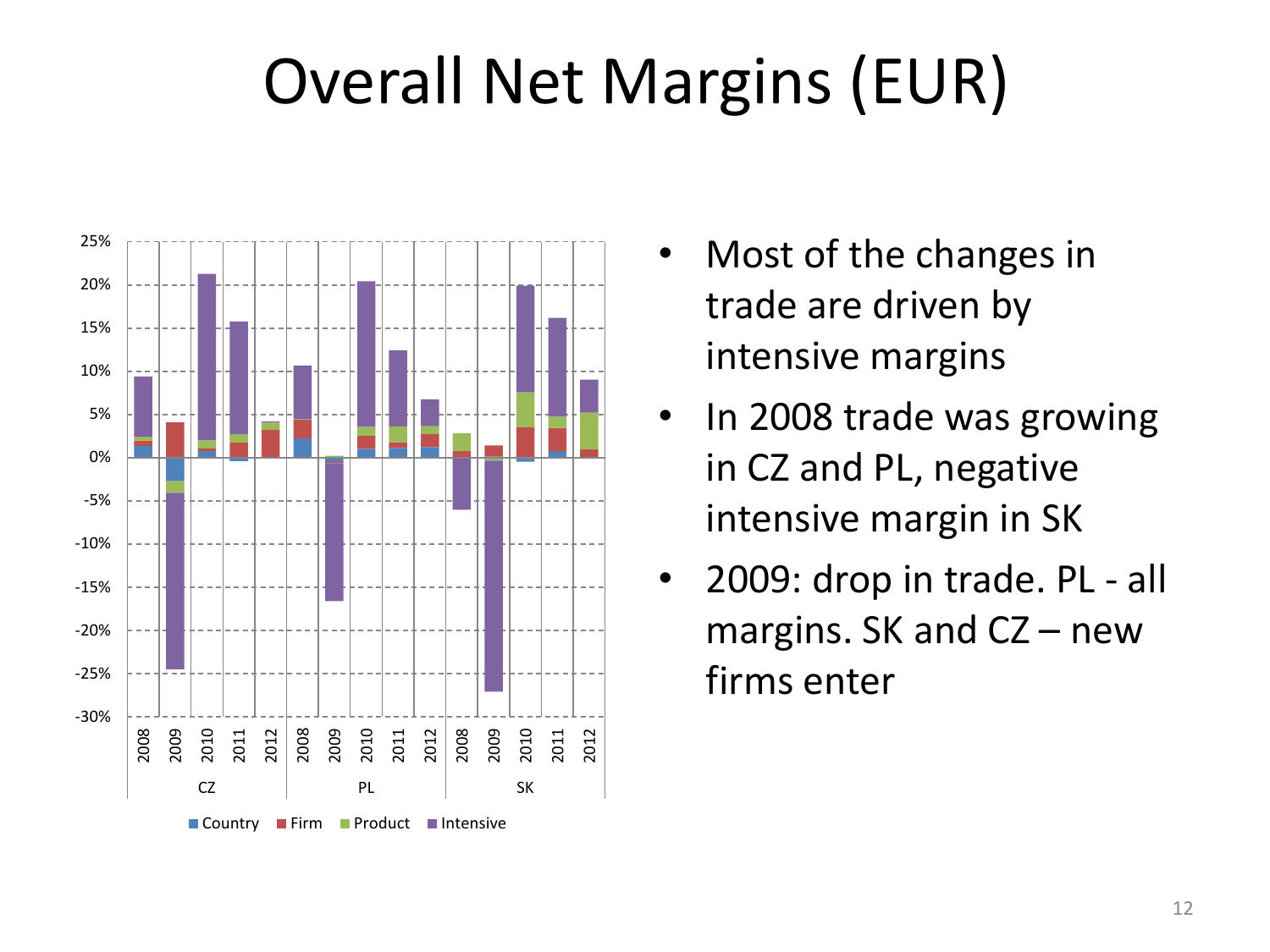### Overall Net Margins (EUR)



- Most of the changes in trade are driven by intensive margins
- In 2008 trade was growing in CZ and PL, negative intensive margin in SK
- 2009: drop in trade. PL all margins. SK and CZ – new firms enter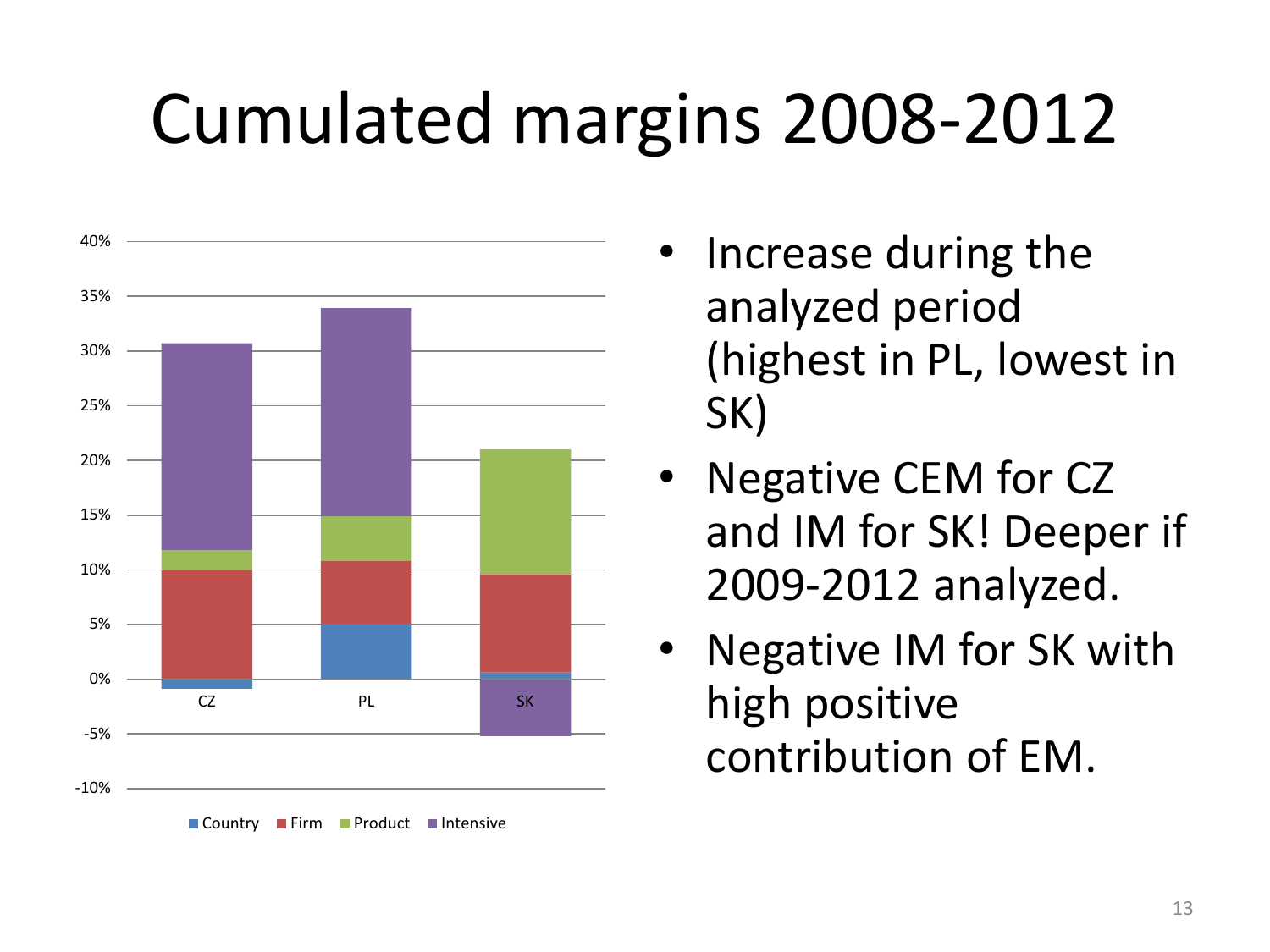### Cumulated margins 2008-2012



- Increase during the analyzed period (highest in PL, lowest in SK)
- Negative CEM for CZ and IM for SK! Deeper if 2009-2012 analyzed.
- Negative IM for SK with high positive contribution of EM.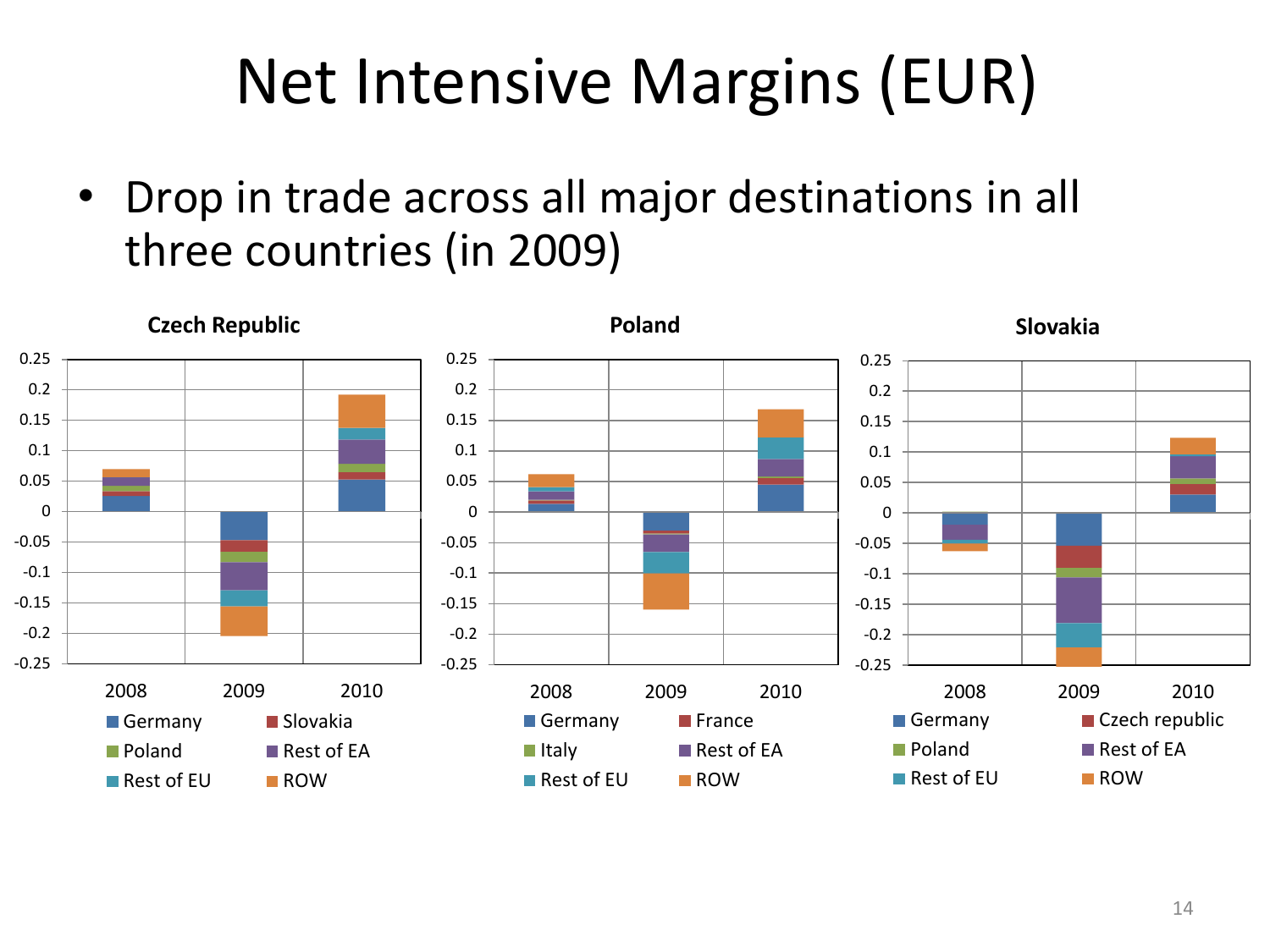### Net Intensive Margins (EUR)

• Drop in trade across all major destinations in all three countries (in 2009)

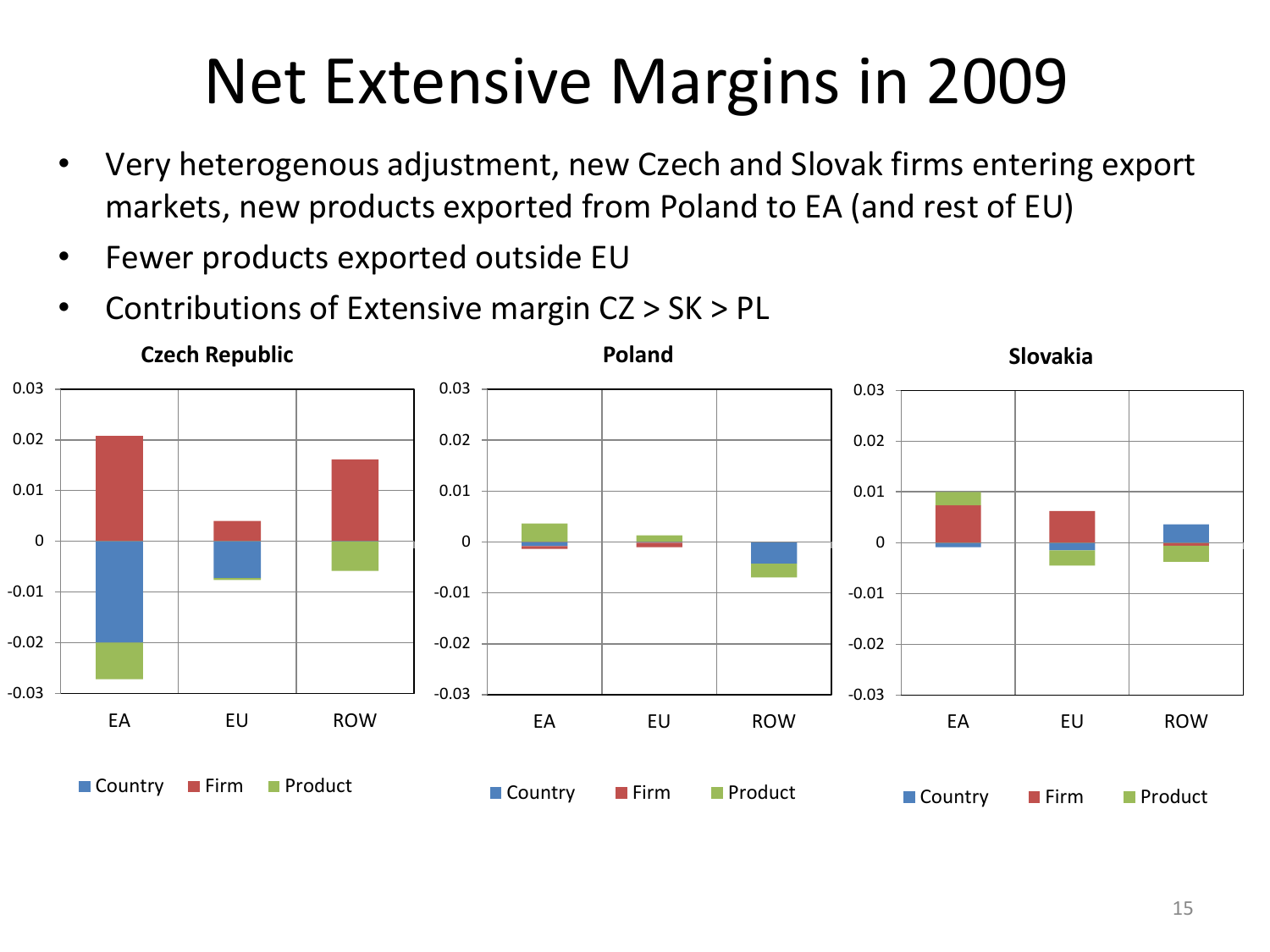### Net Extensive Margins in 2009

- Very heterogenous adjustment, new Czech and Slovak firms entering export markets, new products exported from Poland to EA (and rest of EU)
- Fewer products exported outside EU
- Contributions of Extensive margin CZ > SK > PL

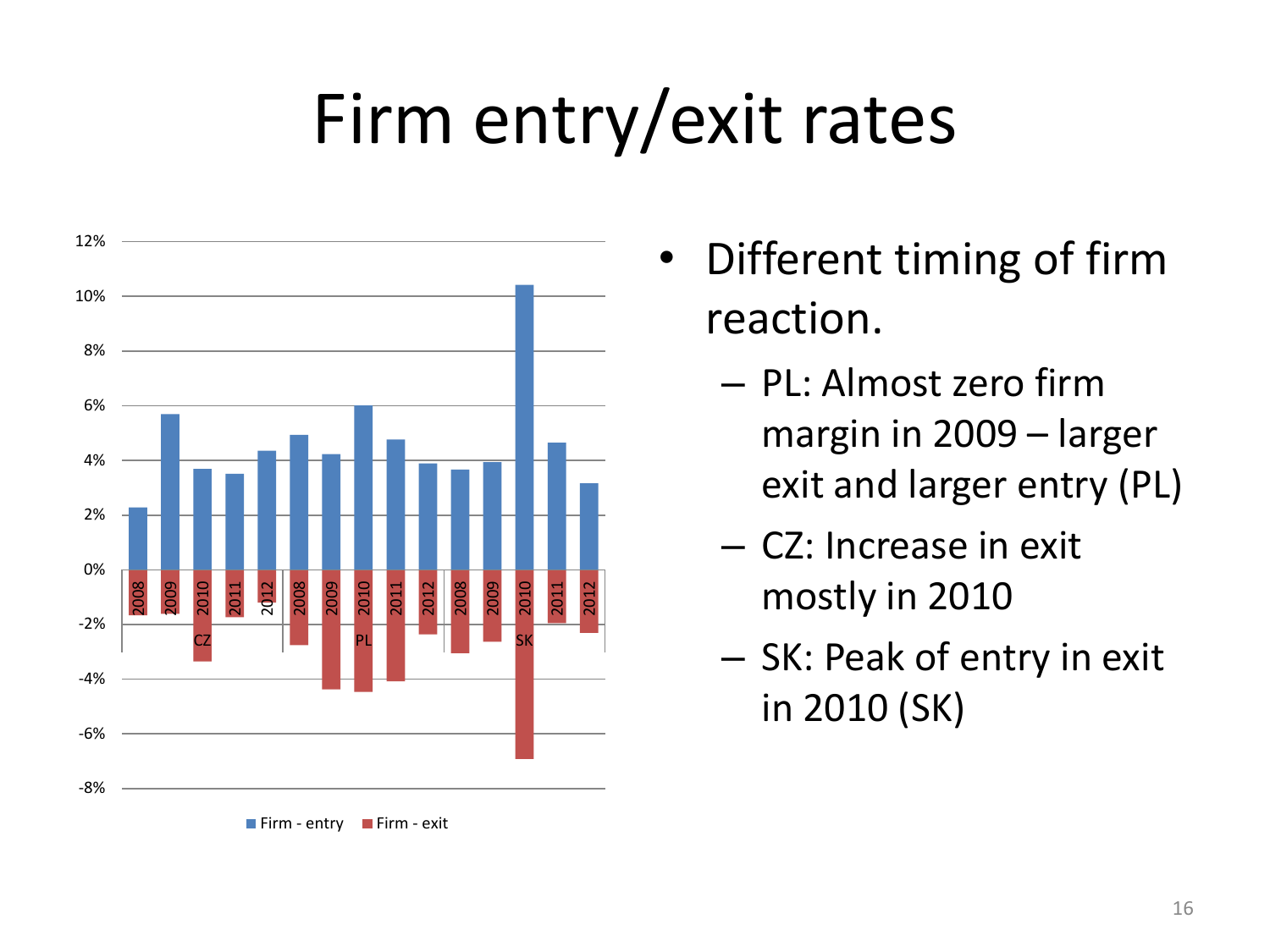## Firm entry/exit rates



- Different timing of firm reaction.
	- PL: Almost zero firm margin in 2009 – larger exit and larger entry (PL)
	- CZ: Increase in exit mostly in 2010
	- SK: Peak of entry in exit in 2010 (SK)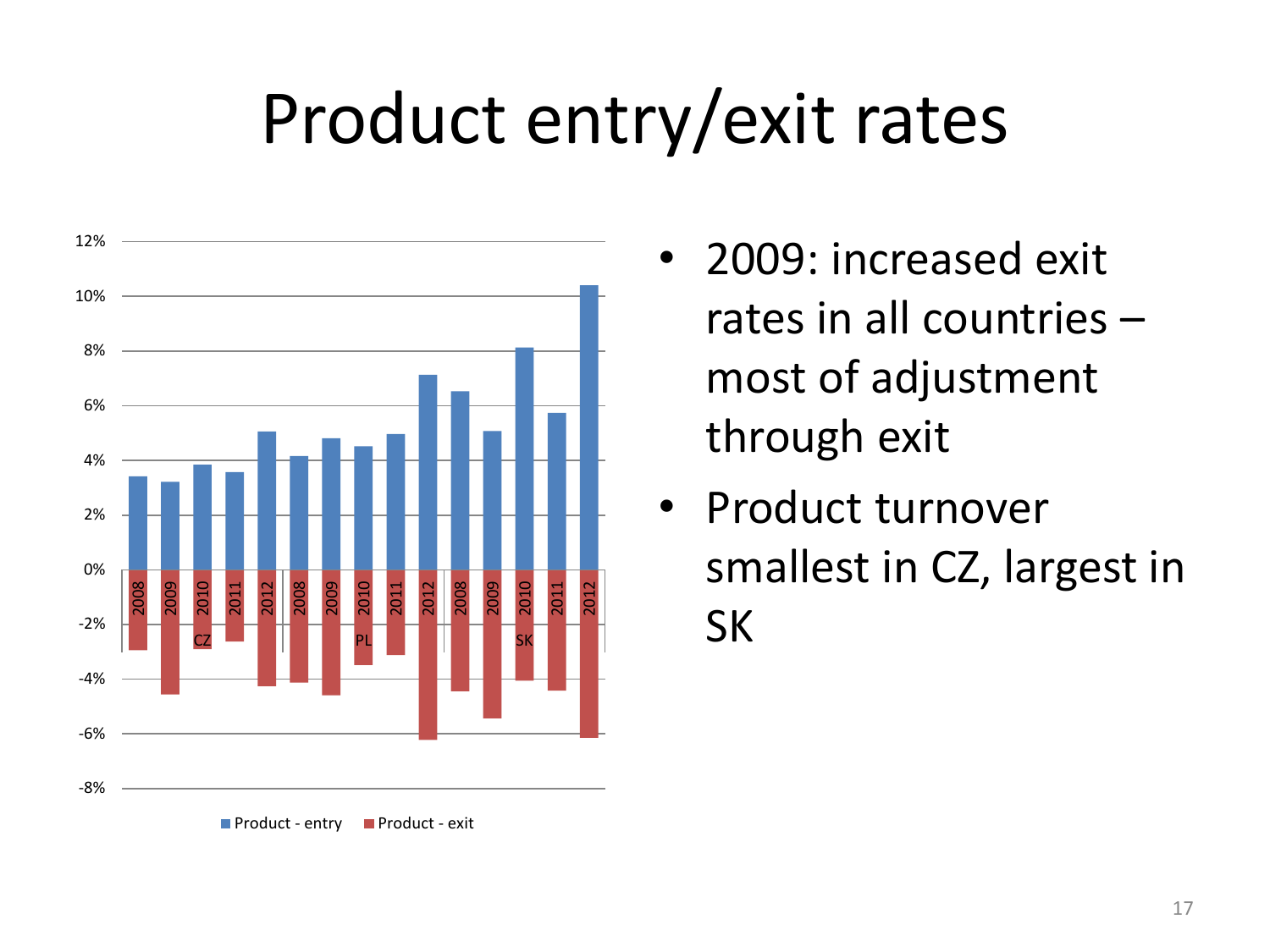### Product entry/exit rates



- 2009: increased exit rates in all countries – most of adjustment through exit
- Product turnover smallest in CZ, largest in SK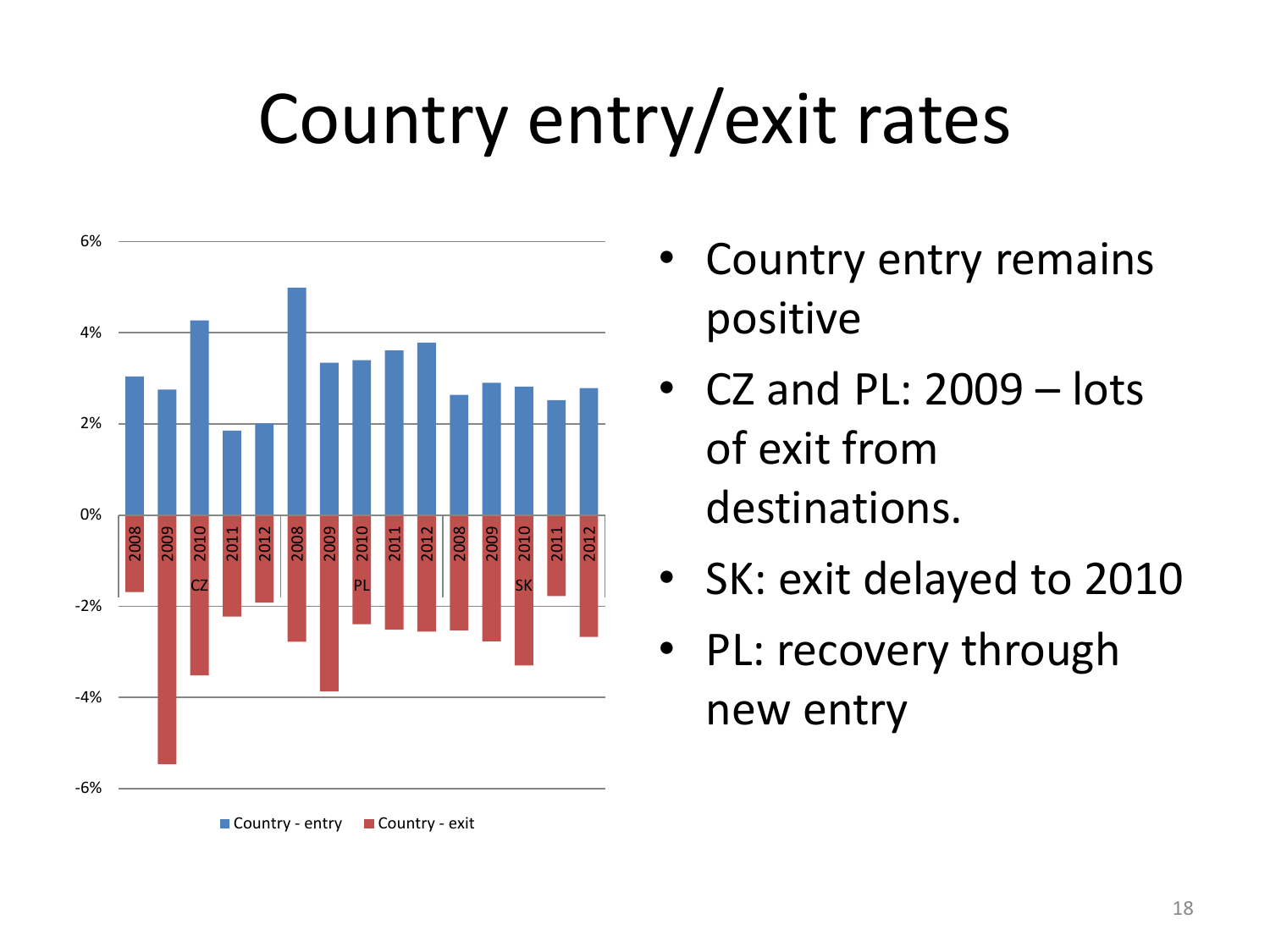## Country entry/exit rates





- Country entry remains positive
- CZ and PL: 2009 lots of exit from destinations.
- SK: exit delayed to 2010
- PL: recovery through new entry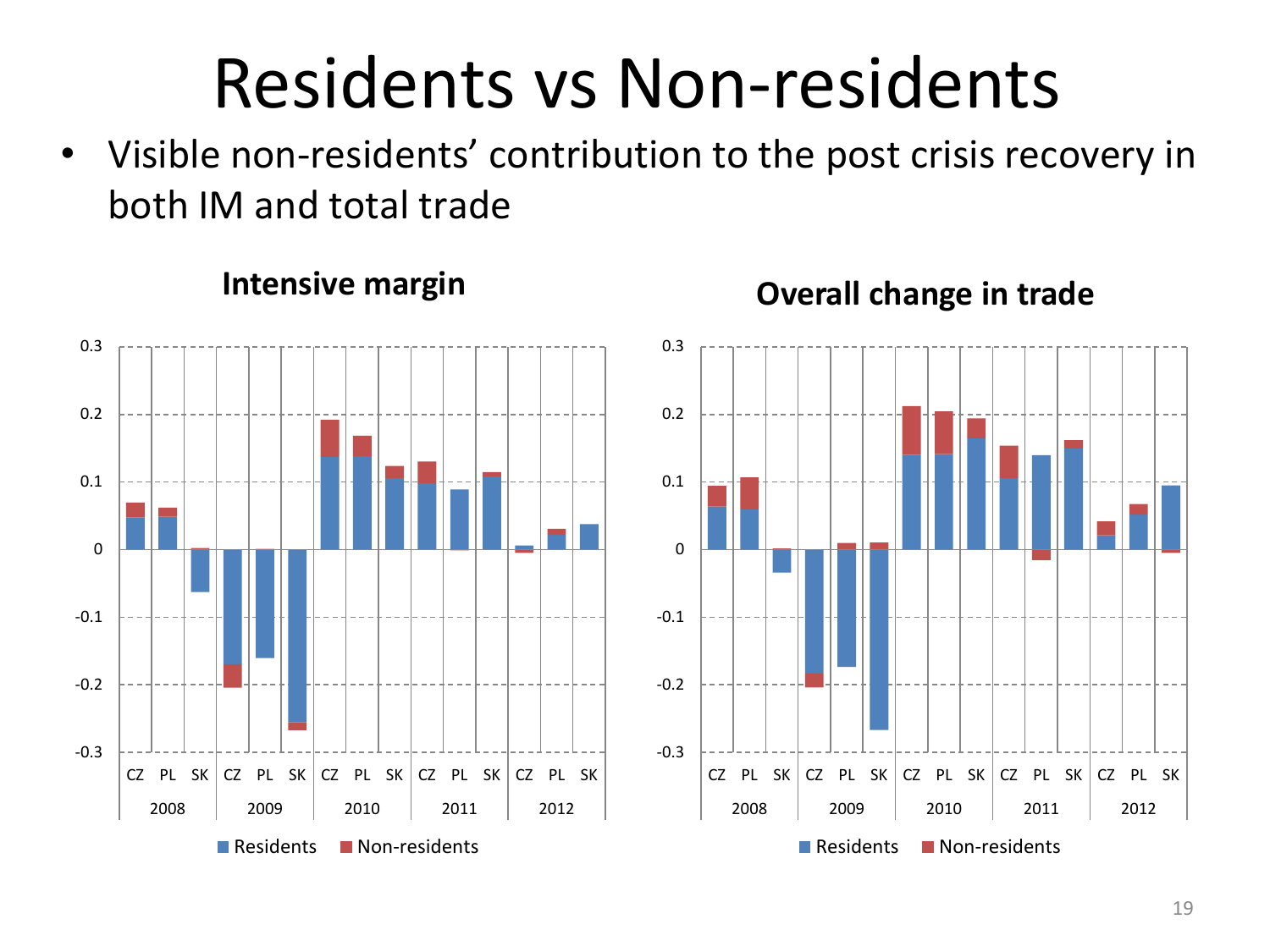## Residents vs Non-residents

• Visible non-residents' contribution to the post crisis recovery in both IM and total trade

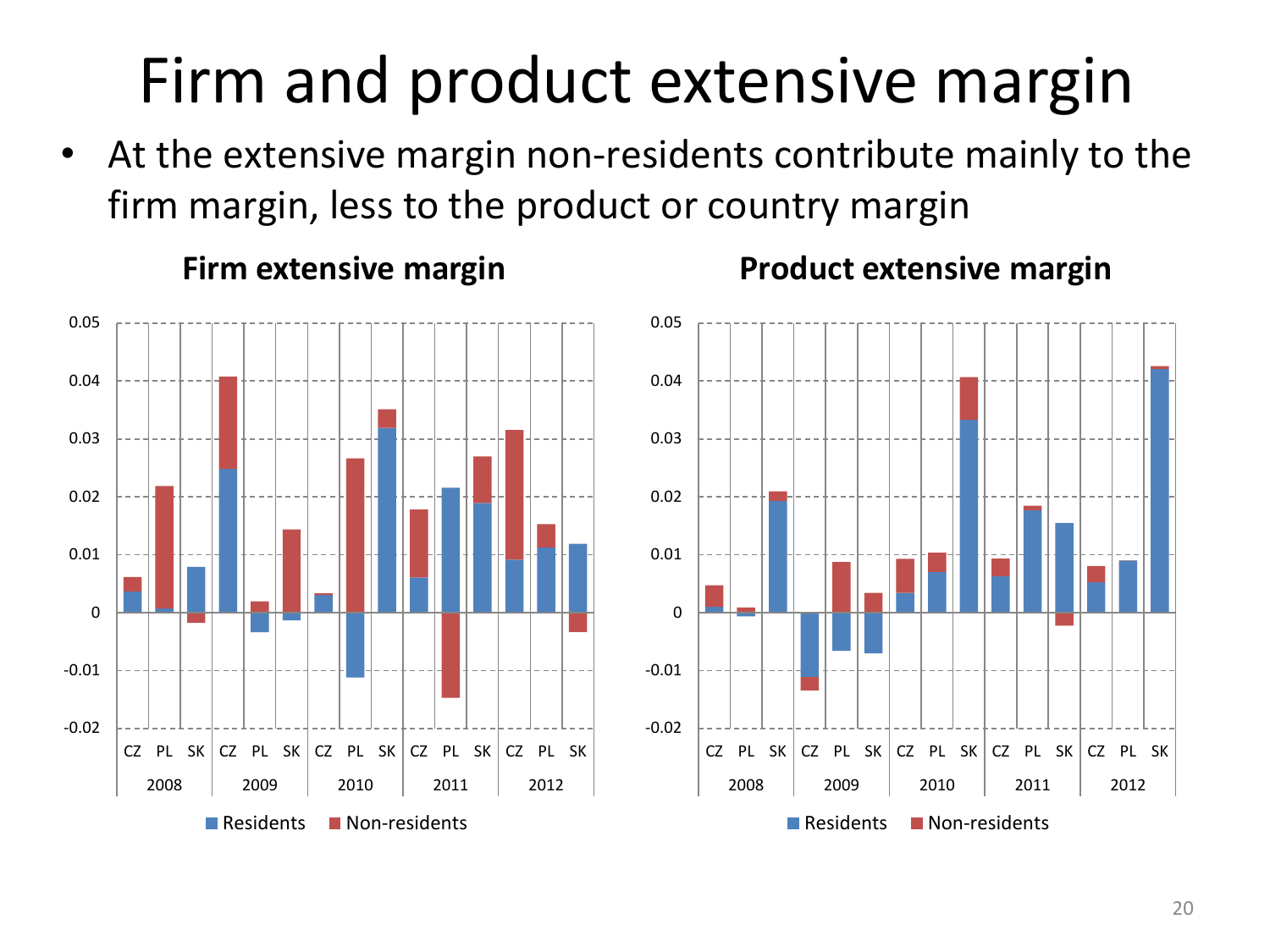### Firm and product extensive margin

• At the extensive margin non-residents contribute mainly to the firm margin, less to the product or country margin

-0.02 -0.01  $\Omega$ 0.01 0.02 0.03 0.04 0.05  $CZ$  PL SK CZ PL SK CZ PL SK CZ PL SK CZ PL SK 2008 2009 2010 2011 2012 Residents Non-residents



### **Firm extensive margin Product extensive margin**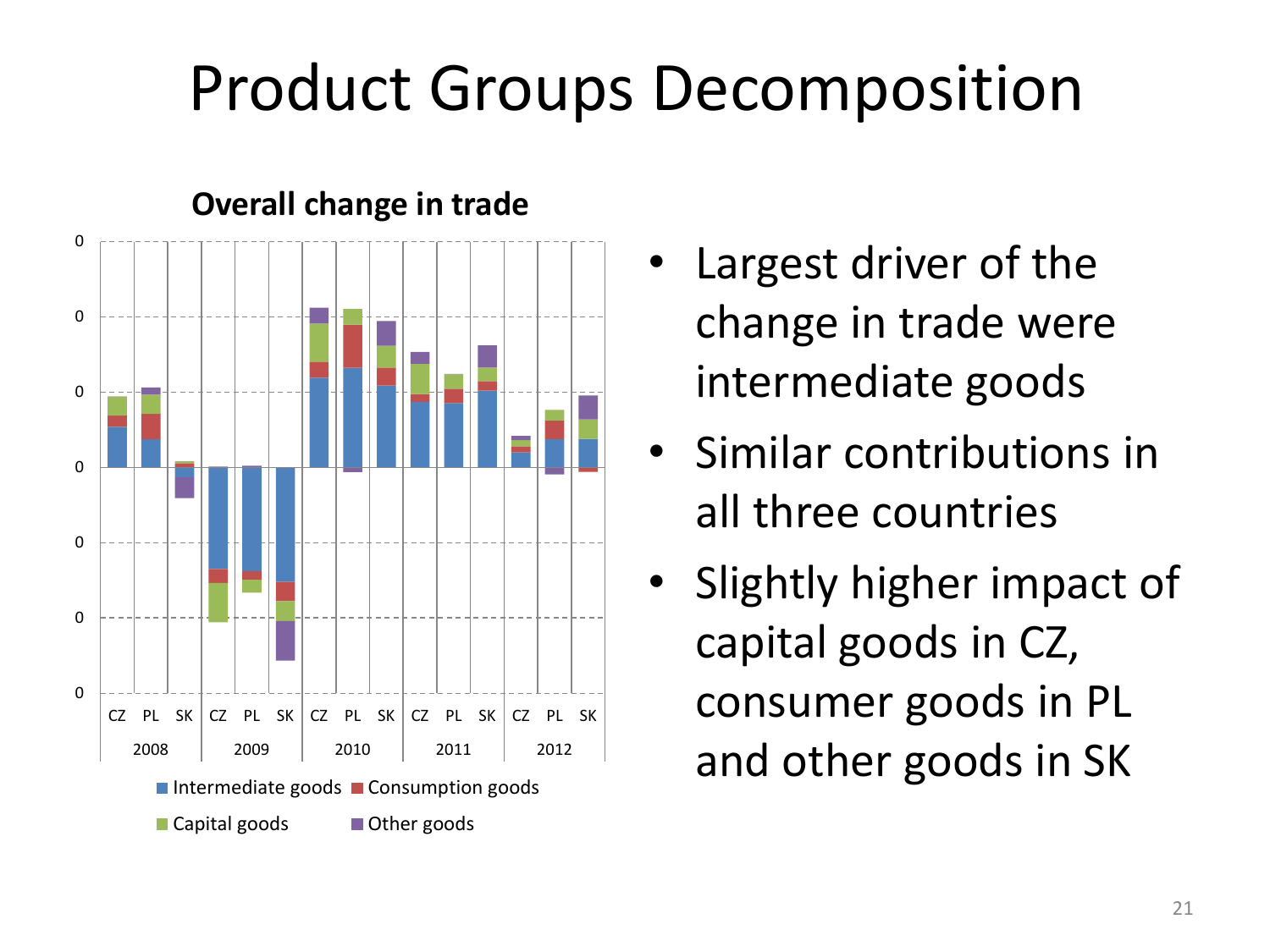### Product Groups Decomposition



### **Overall change in trade**

- Largest driver of the change in trade were intermediate goods
- Similar contributions in all three countries
- Slightly higher impact of capital goods in CZ, consumer goods in PL and other goods in SK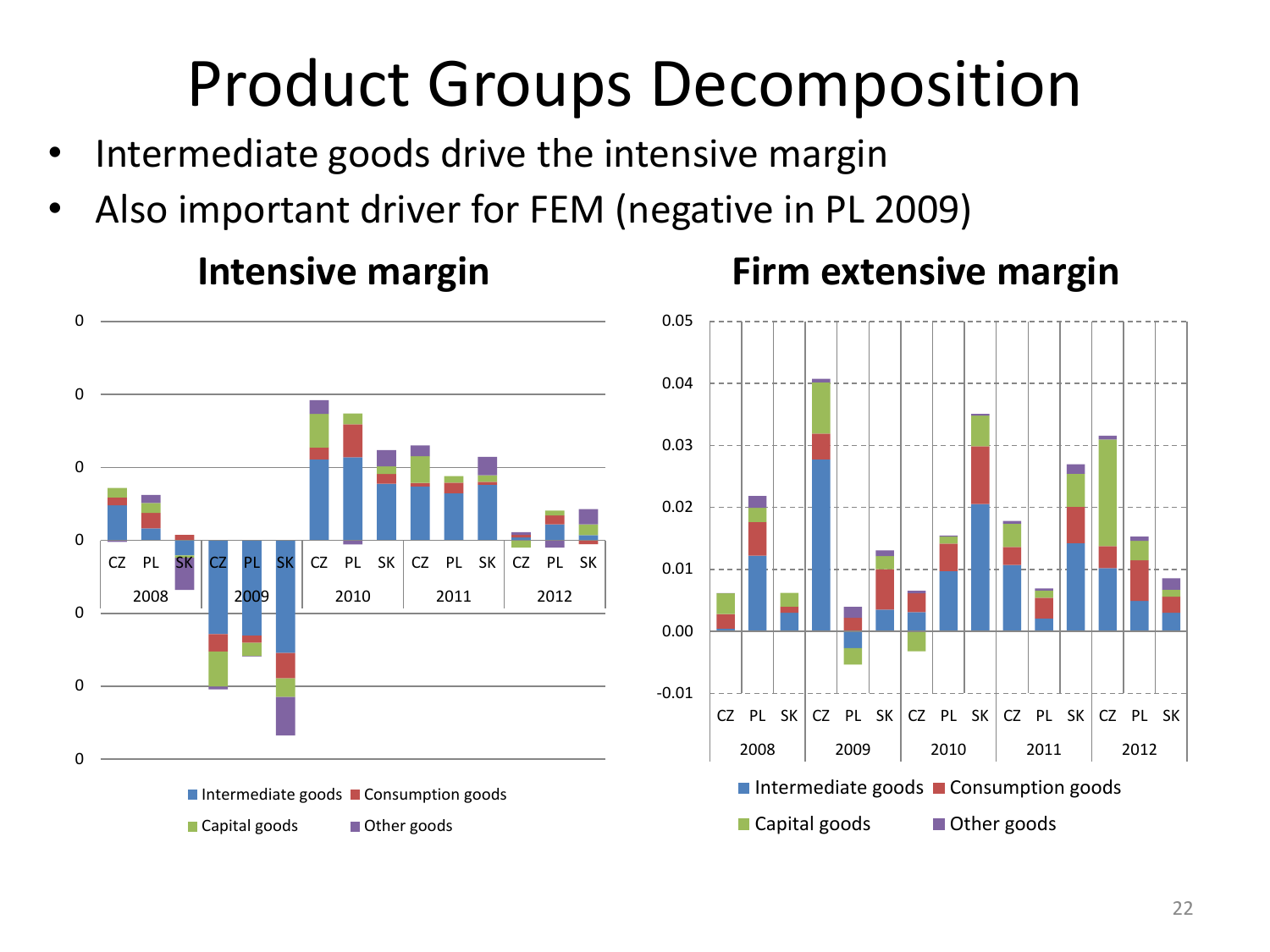### Product Groups Decomposition

- Intermediate goods drive the intensive margin
- Also important driver for FEM (negative in PL 2009)



### **Intensive margin**



### **Firm extensive margin**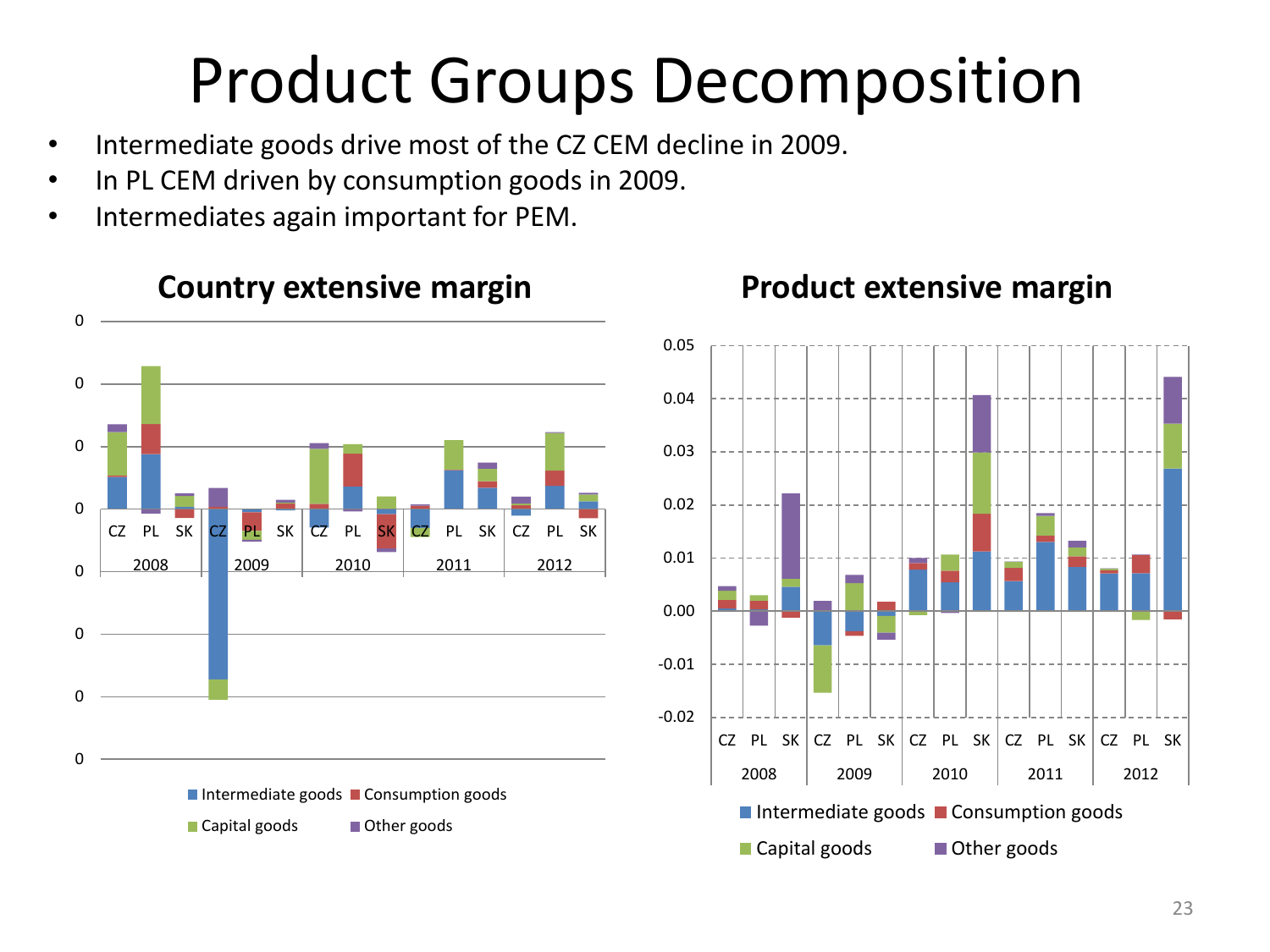### Product Groups Decomposition

- Intermediate goods drive most of the CZ CEM decline in 2009.
- In PL CEM driven by consumption goods in 2009.
- Intermediates again important for PEM.



### **Country extensive margin Product extensive margin**

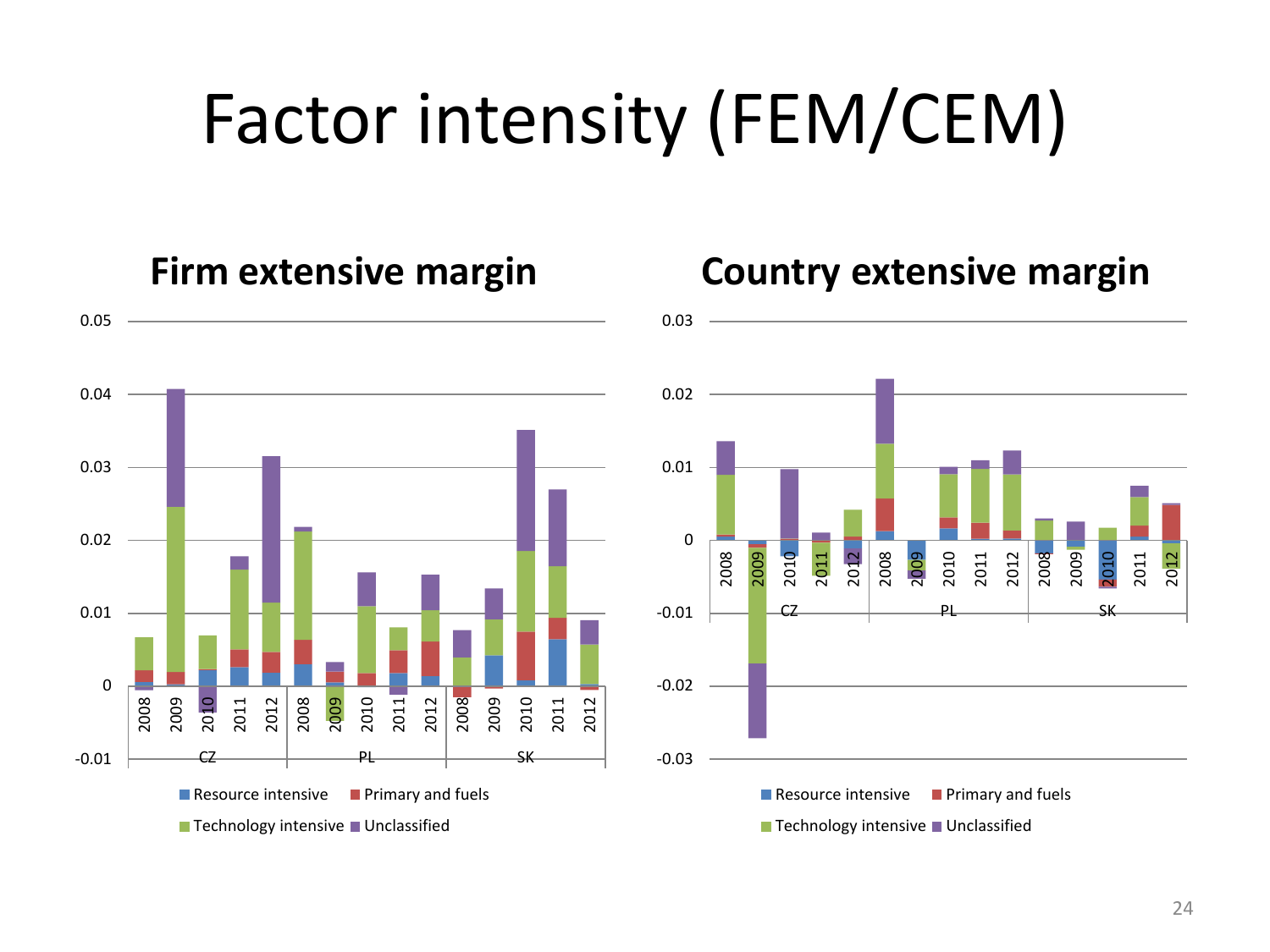# Factor intensity (FEM/CEM)

0.03



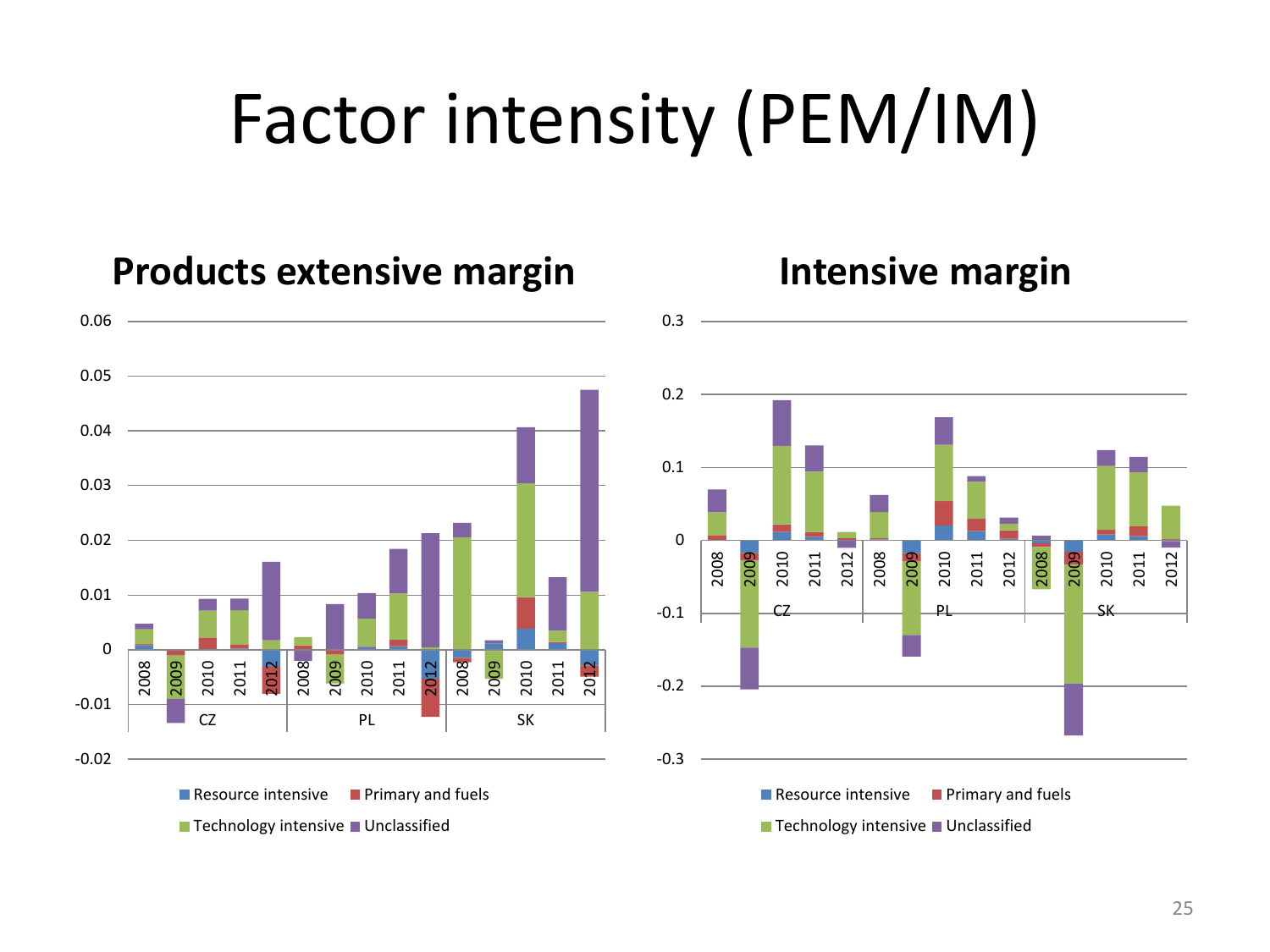## Factor intensity (PEM/IM)



### **Products extensive margin Intensive margin**

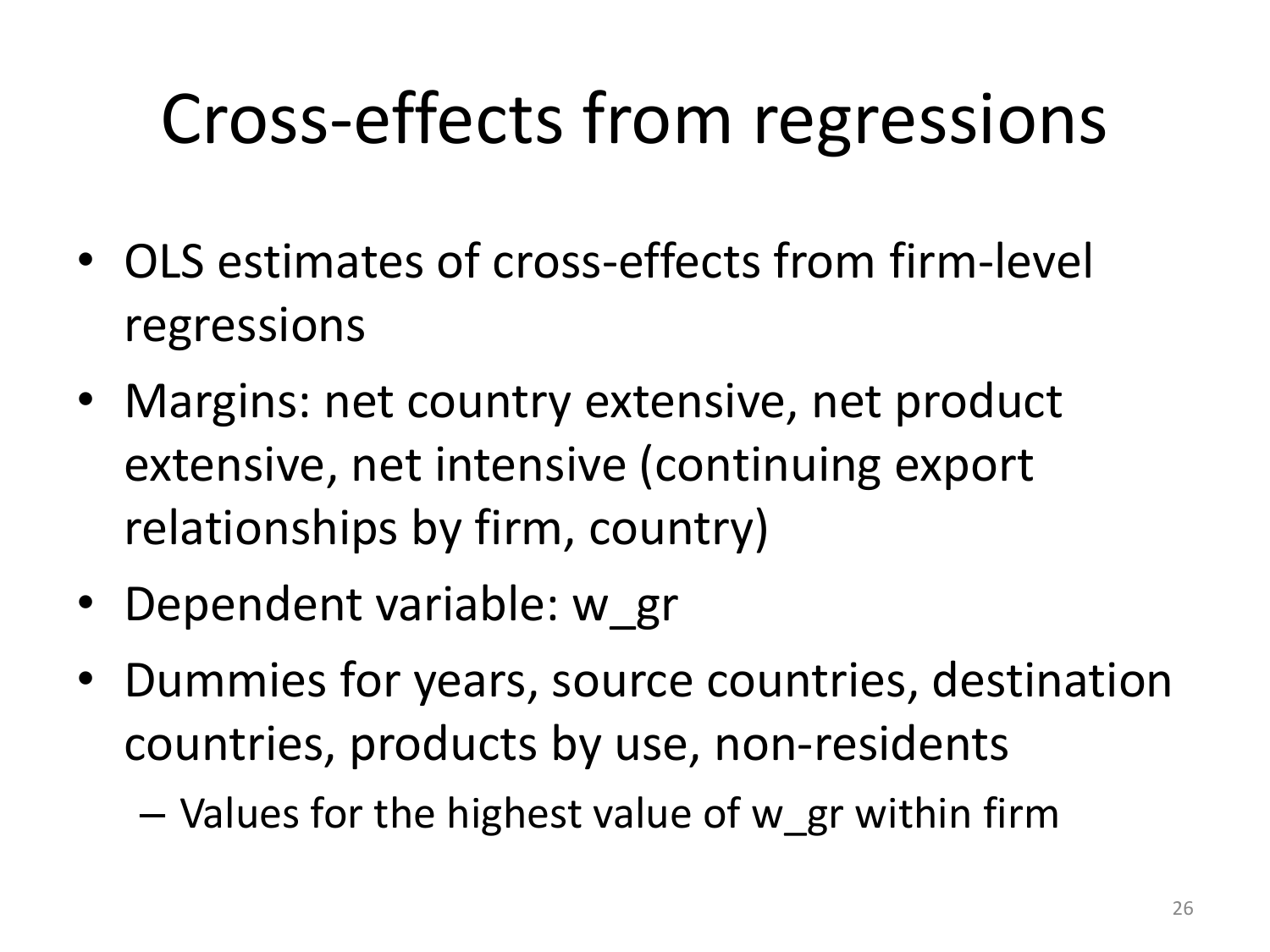# Cross-effects from regressions

- OLS estimates of cross-effects from firm-level regressions
- Margins: net country extensive, net product extensive, net intensive (continuing export relationships by firm, country)
- Dependent variable: w\_gr
- Dummies for years, source countries, destination countries, products by use, non-residents
	- Values for the highest value of w\_gr within firm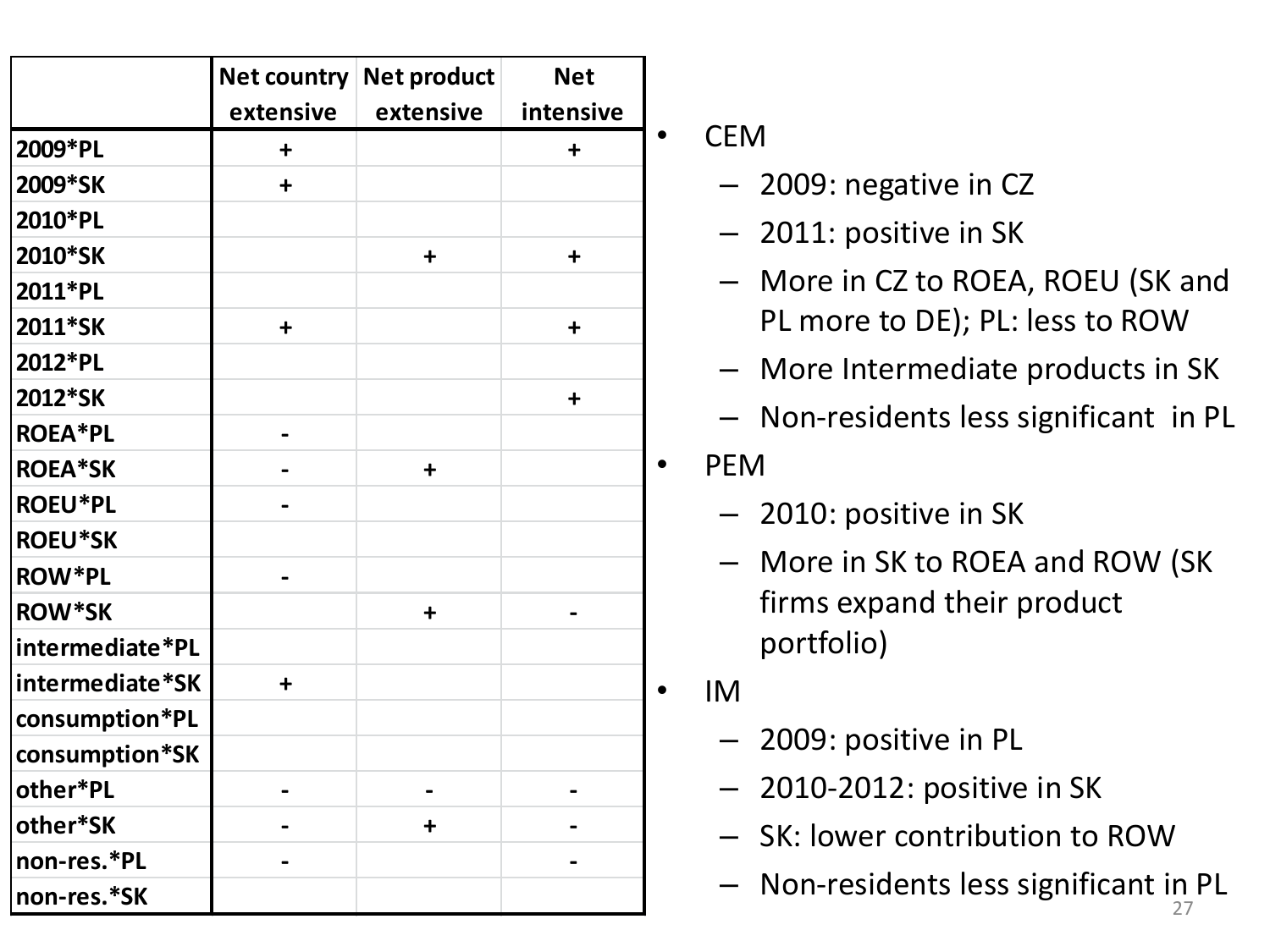|                 |                      | Net country Net product | <b>Net</b> |           |                                     |
|-----------------|----------------------|-------------------------|------------|-----------|-------------------------------------|
|                 | extensive            | extensive               | intensive  |           |                                     |
| 2009*PL         | $\ddot{}$            |                         | $\ddot{}$  | $\bullet$ | <b>CEM</b>                          |
| 2009*SK         | $\ddot{}$            |                         |            |           | - 2009: negative in CZ              |
| 2010*PL         |                      |                         |            |           | $-$ 2011: positive in SK            |
| 2010*SK         |                      | $\ddot{}$               | $\ddot{}$  |           |                                     |
| 2011*PL         |                      |                         |            |           | - More in CZ to ROEA, ROEU (SK a    |
| 2011*SK         | $\ddot{}$            |                         | $\ddot{+}$ |           | PL more to DE); PL: less to ROW     |
| 2012*PL         |                      |                         |            |           | - More Intermediate products in !   |
| 2012*SK         |                      |                         | $\ddot{+}$ |           |                                     |
| <b>ROEA*PL</b>  |                      |                         |            |           | - Non-residents less significant in |
| <b>ROEA*SK</b>  |                      | $\ddot{}$               |            | $\bullet$ | <b>PEM</b>                          |
| <b>ROEU*PL</b>  |                      |                         |            |           | - 2010: positive in SK              |
| <b>ROEU*SK</b>  |                      |                         |            |           |                                     |
| <b>ROW*PL</b>   |                      |                         |            |           | - More in SK to ROEA and ROW (S     |
| <b>ROW*SK</b>   |                      | $\ddot{}$               |            |           | firms expand their product          |
| intermediate*PL |                      |                         |            |           | portfolio)                          |
| intermediate*SK | $\ddot{\phantom{1}}$ |                         |            | $\bullet$ | <b>IM</b>                           |
| consumption*PL  |                      |                         |            |           |                                     |
| consumption*SK  |                      |                         |            |           | - 2009: positive in PL              |
| other*PL        |                      |                         |            |           | $-$ 2010-2012: positive in SK       |
| other*SK        |                      | $\ddagger$              |            |           | - SK: lower contribution to ROW     |
| non-res.*PL     |                      |                         |            |           |                                     |
| non-res.*SK     |                      |                         |            |           | Non-residents less significant in   |

- 2009: negative in CZ
- 2011: positive in SK
- More in CZ to ROEA, ROEU (SK and PL more to DE); PL: less to ROW
- More Intermediate products in SK
- Non-residents less significant in PL

### • PEM

- 2010: positive in SK
- More in SK to ROEA and ROW (SK firms expand their product portfolio)
- IM
	- 2009: positive in PL
	- 2010-2012: positive in SK
	- SK: lower contribution to ROW
	- Non-residents less significant in PL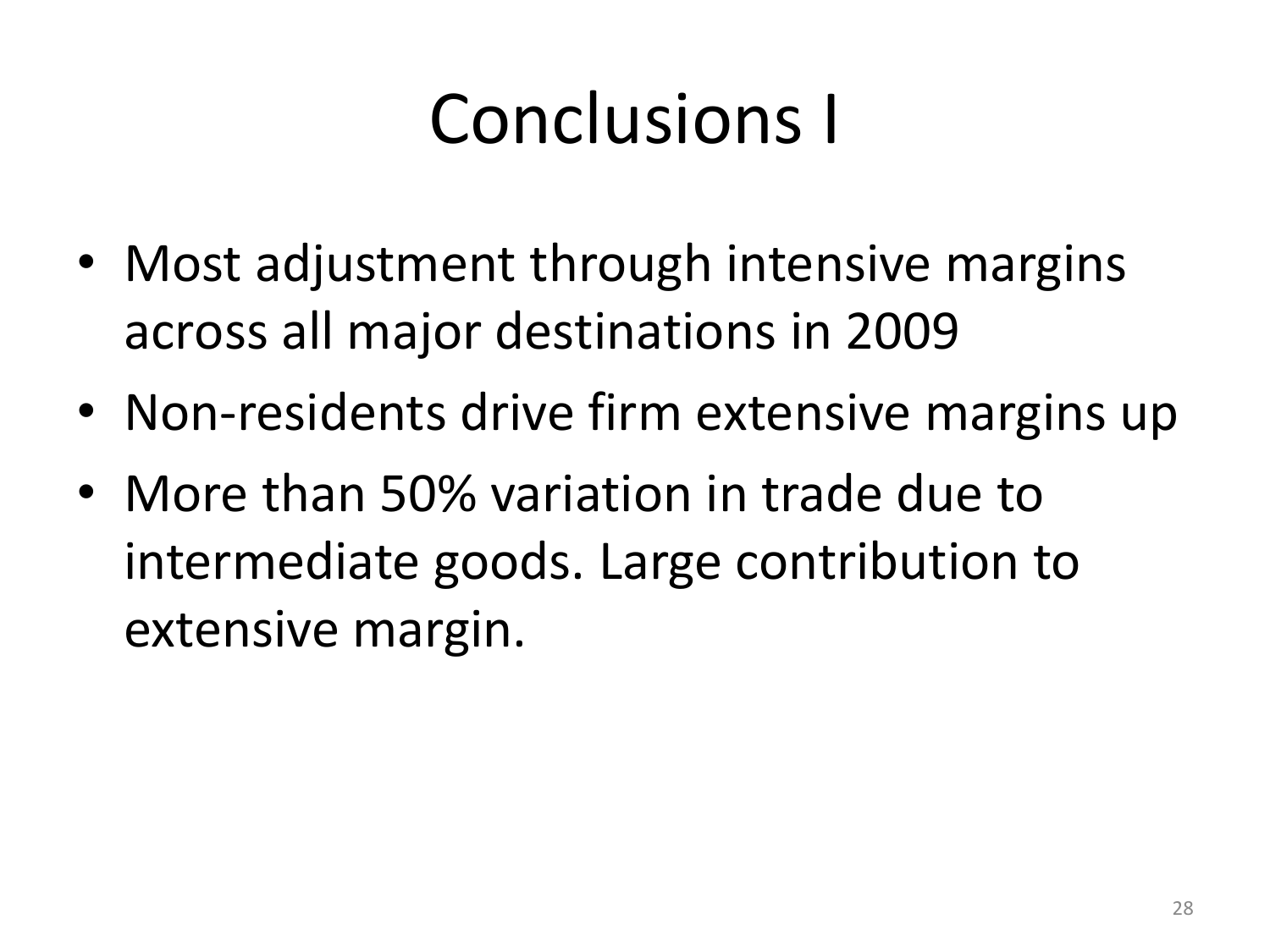# Conclusions I

- Most adjustment through intensive margins across all major destinations in 2009
- Non-residents drive firm extensive margins up
- More than 50% variation in trade due to intermediate goods. Large contribution to extensive margin.